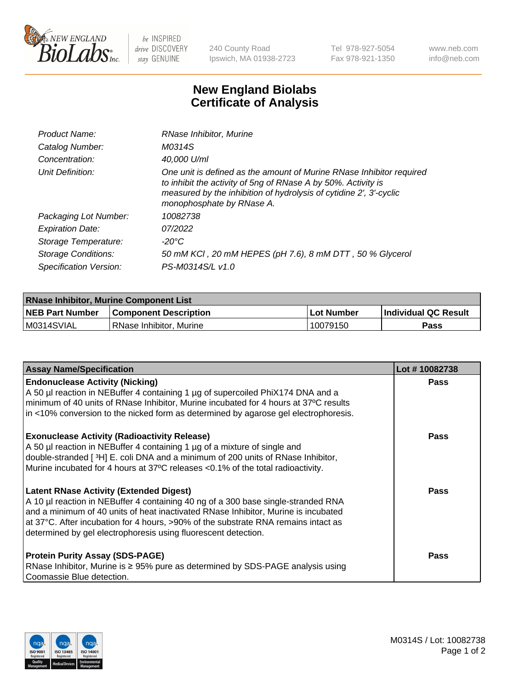

 $be$  INSPIRED drive DISCOVERY stay GENUINE

240 County Road Ipswich, MA 01938-2723 Tel 978-927-5054 Fax 978-921-1350 www.neb.com info@neb.com

## **New England Biolabs Certificate of Analysis**

| Product Name:              | RNase Inhibitor, Murine                                                                                                                                                                                                                  |
|----------------------------|------------------------------------------------------------------------------------------------------------------------------------------------------------------------------------------------------------------------------------------|
| Catalog Number:            | M0314S                                                                                                                                                                                                                                   |
| Concentration:             | 40,000 U/ml                                                                                                                                                                                                                              |
| Unit Definition:           | One unit is defined as the amount of Murine RNase Inhibitor required<br>to inhibit the activity of 5ng of RNase A by 50%. Activity is<br>measured by the inhibition of hydrolysis of cytidine 2', 3'-cyclic<br>monophosphate by RNase A. |
| Packaging Lot Number:      | 10082738                                                                                                                                                                                                                                 |
| <b>Expiration Date:</b>    | 07/2022                                                                                                                                                                                                                                  |
| Storage Temperature:       | -20°C                                                                                                                                                                                                                                    |
| <b>Storage Conditions:</b> | 50 mM KCl, 20 mM HEPES (pH 7.6), 8 mM DTT, 50 % Glycerol                                                                                                                                                                                 |
| Specification Version:     | PS-M0314S/L v1.0                                                                                                                                                                                                                         |

| <b>RNase Inhibitor, Murine Component List</b> |                              |            |                      |  |
|-----------------------------------------------|------------------------------|------------|----------------------|--|
| <b>NEB Part Number</b>                        | <b>Component Description</b> | Lot Number | Individual QC Result |  |
| M0314SVIAL                                    | l RNase Inhibitor. Murine    | 10079150   | <b>Pass</b>          |  |

| <b>Assay Name/Specification</b>                                                                                                                                                                                                                                                                                                                                                   | Lot #10082738 |
|-----------------------------------------------------------------------------------------------------------------------------------------------------------------------------------------------------------------------------------------------------------------------------------------------------------------------------------------------------------------------------------|---------------|
| <b>Endonuclease Activity (Nicking)</b><br>A 50 µl reaction in NEBuffer 4 containing 1 µg of supercoiled PhiX174 DNA and a<br>minimum of 40 units of RNase Inhibitor, Murine incubated for 4 hours at 37°C results<br>in <10% conversion to the nicked form as determined by agarose gel electrophoresis.                                                                          | Pass          |
| <b>Exonuclease Activity (Radioactivity Release)</b><br>A 50 µl reaction in NEBuffer 4 containing 1 µg of a mixture of single and<br>double-stranded [3H] E. coli DNA and a minimum of 200 units of RNase Inhibitor,<br>Murine incubated for 4 hours at 37°C releases <0.1% of the total radioactivity.                                                                            | <b>Pass</b>   |
| <b>Latent RNase Activity (Extended Digest)</b><br>A 10 µl reaction in NEBuffer 4 containing 40 ng of a 300 base single-stranded RNA<br>and a minimum of 40 units of heat inactivated RNase Inhibitor, Murine is incubated<br>at 37°C. After incubation for 4 hours, >90% of the substrate RNA remains intact as<br>determined by gel electrophoresis using fluorescent detection. | <b>Pass</b>   |
| <b>Protein Purity Assay (SDS-PAGE)</b><br>RNase Inhibitor, Murine is ≥ 95% pure as determined by SDS-PAGE analysis using<br>Coomassie Blue detection.                                                                                                                                                                                                                             | <b>Pass</b>   |